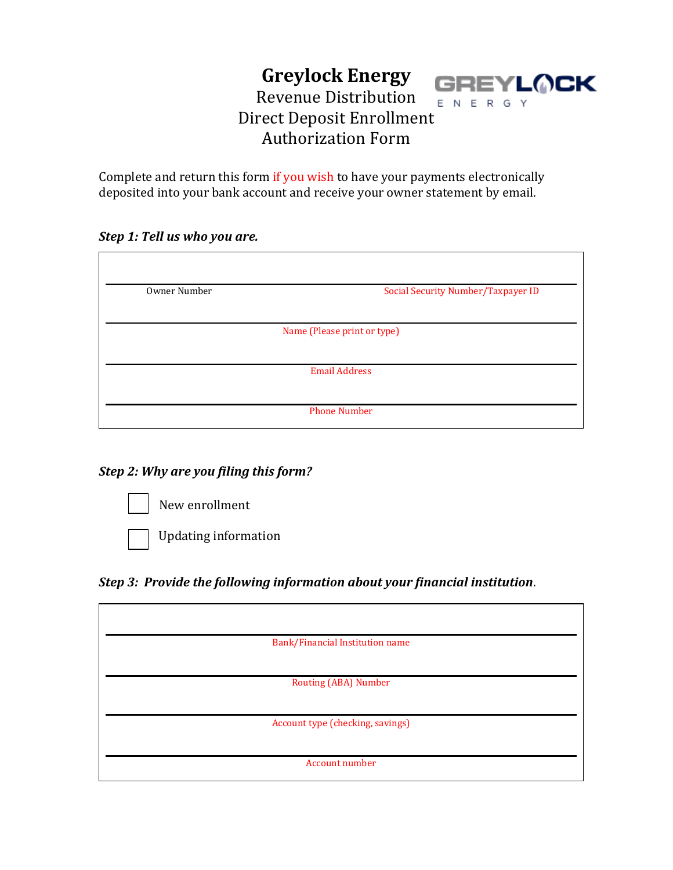#### **Greylock Energy GREYLOCK** Revenue Distribution ENERGY Direct Deposit Enrollment Authorization Form

Complete and return this form if you wish to have your payments electronically deposited into your bank account and receive your owner statement by email.

### *Step 1: Tell us who you are.*

| Owner Number                | Social Security Number/Taxpayer ID |
|-----------------------------|------------------------------------|
| Name (Please print or type) |                                    |
|                             |                                    |
| <b>Email Address</b>        |                                    |
|                             | <b>Phone Number</b>                |

# *Step 2: Why are you filing this form?*

New enrollment



Updating information

# *Step 3: Provide the following information about your financial institution*.

| Bank/Financial Institution name  |  |
|----------------------------------|--|
|                                  |  |
| <b>Routing (ABA) Number</b>      |  |
|                                  |  |
| Account type (checking, savings) |  |
|                                  |  |
| Account number                   |  |